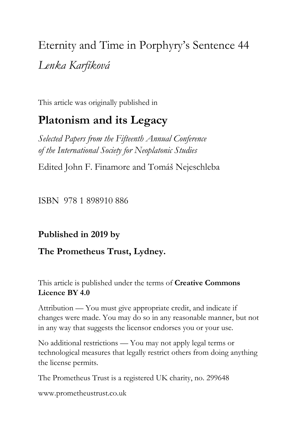Eternity and Time in Porphyry's Sentence 44 *Lenka Karfíková*

This article was originally published in

# **Platonism and its Legacy**

*Selected Papers from the Fifteenth Annual Conference of the International Society for Neoplatonic Studies*

Edited John F. Finamore and Tomáš Nejeschleba

ISBN 978 1 898910 886

# **Published in 2019 by**

## **The Prometheus Trust, Lydney.**

This article is published under the terms of **Creative Commons Licence BY 4.0**

Attribution — You must give appropriate credit, and indicate if changes were made. You may do so in any reasonable manner, but not in any way that suggests the licensor endorses you or your use.

No additional restrictions — You may not apply legal terms or technological measures that legally restrict others from doing anything the license permits.

The Prometheus Trust is a registered UK charity, no. 299648

[www.prometheustrust.co.uk](http://www.prometheustrust.co.uk/)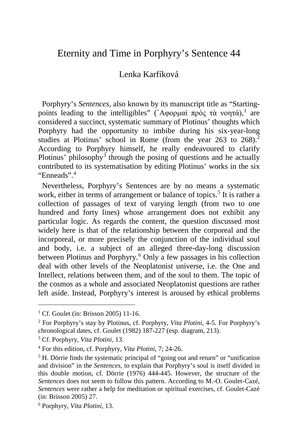## Eternity and Time in Porphyry's Sentence 44

### Lenka Karfíková

 Porphyry's *Sentences*, also known by its manuscript title as "Starting-points leading to the intelligibles" ('Αφορμαὶ πρὸς τὰ νοητά).<sup>[1](#page-1-0)</sup> are considered a succinct, systematic summary of Plotinus' thoughts which Porphyry had the opportunity to imbibe during his six-year-long studies at Plotinus' school in Rome (from the year  $263$  $263$  to  $268$ ).<sup>2</sup> According to Porphyry himself, he really endeavoured to clarify Plotinus' philosophy<sup>[3](#page-1-2)</sup> through the posing of questions and he actually contributed to its systematisation by editing Plotinus' works in the six "Enneads".[4](#page-1-3)

 Nevertheless, Porphyry's Sentences are by no means a systematic work, either in terms of arrangement or balance of topics.<sup>[5](#page-1-4)</sup> It is rather a collection of passages of text of varying length (from two to one hundred and forty lines) whose arrangement does not exhibit any particular logic. As regards the content, the question discussed most widely here is that of the relationship between the corporeal and the incorporeal, or more precisely the conjunction of the individual soul and body, i.e. a subject of an alleged three-day-long discussion between Plotinus and Porphyry.[6](#page-1-5) Only a few passages in his collection deal with other levels of the Neoplatonist universe, i.e. the One and Intellect, relations between them, and of the soul to them. The topic of the cosmos as a whole and associated Neoplatonist questions are rather left aside. Instead, Porphyry's interest is aroused by ethical problems

<span id="page-1-0"></span><sup>&</sup>lt;sup>1</sup> Cf. Goulet (in: Brisson 2005) 11-16.

<span id="page-1-1"></span><sup>2</sup> For Porphyry's stay by Plotinus, cf. Porphyry, *Vita Plotini*, 4-5. For Porphyry's chronological dates, cf. Goulet (1982) 187-227 (esp. diagram, 213).

<span id="page-1-2"></span><sup>3</sup> Cf. Porphyry, *Vita Plotini*, 13.

<span id="page-1-3"></span><sup>4</sup> For this edition, cf. Porphyry, *Vita Plotini*, 7; 24-26.

<span id="page-1-4"></span><sup>&</sup>lt;sup>5</sup> H. Dörrie finds the systematic principal of "going out and return" or "unification" and division" in the *Sentences*, to explain that Porphyry's soul is itself divided in this double motion, cf. Dörrie (1976) 444-445. However, the structure of the *Sentences* does not seem to follow this pattern. According to M.-O. Goulet-Cazé, *Sentences* were rather a help for meditation or spiritual exercises, cf. Goulet-Cazé (in: Brisson 2005) 27.

<span id="page-1-5"></span><sup>6</sup> Porphyry, *Vita Plotini*, 13.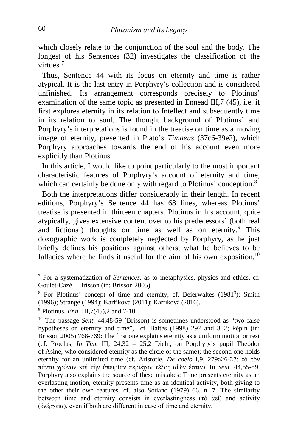which closely relate to the conjunction of the soul and the body. The longest of his Sentences (32) investigates the classification of the virtues.[7](#page-2-0)

 Thus, Sentence 44 with its focus on eternity and time is rather atypical. It is the last entry in Porphyry's collection and is considered unfinished. Its arrangement corresponds precisely to Plotinus' examination of the same topic as presented in Ennead III,7 (45), i.e. it first explores eternity in its relation to Intellect and subsequently time in its relation to soul. The thought background of Plotinus' and Porphyry's interpretations is found in the treatise on time as a moving image of eternity, presented in Plato's *Timaeus* (37c6-39e2), which Porphyry approaches towards the end of his account even more explicitly than Plotinus.

 In this article, I would like to point particularly to the most important characteristic features of Porphyry's account of eternity and time, which can certainly be done only with regard to Plotinus' conception.<sup>[8](#page-2-1)</sup>

 Both the interpretations differ considerably in their length. In recent editions, Porphyry's Sentence 44 has 68 lines, whereas Plotinus' treatise is presented in thirteen chapters. Plotinus in his account, quite atypically, gives extensive content over to his predecessors' (both real and fictional) thoughts on time as well as on eternity.<sup>[9](#page-2-2)</sup> This doxographic work is completely neglected by Porphyry, as he just briefly defines his positions against others, what he believes to be fallacies where he finds it useful for the aim of his own exposition.<sup>[10](#page-2-3)</sup>

<span id="page-2-0"></span><sup>&</sup>lt;sup>7</sup> For a systematization of *Sentences*, as to metaphysics, physics and ethics, cf. Goulet-Cazé – Brisson (in: Brisson 2005).

<span id="page-2-1"></span>Goulet-Cazé – Brisson (in: Brisson 2005).<br><sup>8</sup> For Plotinus' concept of time and eternity, cf. Beierwaltes (1981<sup>3</sup>); Smith (1996); Strange (1994); Karfíková (2011); Karfíková (2016).

<span id="page-2-2"></span><sup>9</sup> Plotinus, *Enn.* III,7(45),2 and 7-10.

<span id="page-2-3"></span><sup>&</sup>lt;sup>10</sup> The passage *Sent.* 44,48-59 (Brisson) is sometimes understood as "two false hypotheses on eternity and time", cf. Baltes (1998) 297 and 302; Pépin (in: Brisson 2005) 768-769: The first one explains eternity as a uniform motion or rest (cf. Proclus, *In Tim.* III, 24,32 – 25,2 Diehl, on Porphyry's pupil Theodor of Asine, who considered eternity as the circle of the same); the second one holds eternity for an unlimited time (cf. Aristotle, *De coelo* I,9, 279a26-27: τὸ τὸν πάντα χρόνον καὶ τὴν ἀπειρίαν περιέχον τέλος αἰών ἐστιν). In *Sent.* 44,55-59, Porphyry also explains the source of these mistakes: Time presents eternity as an everlasting motion, eternity presents time as an identical activity, both giving to the other their own features, cf. also Sodano (1979) 66, n. 7. The similarity between time and eternity consists in everlastingness (τὸ ἀεί) and activity (ἐνέργεια), even if both are different in case of time and eternity.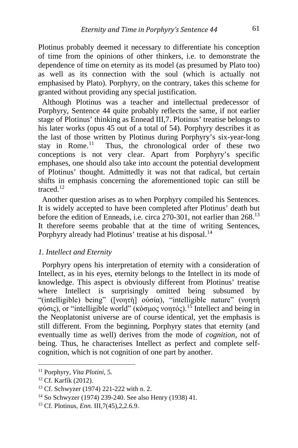Plotinus probably deemed it necessary to differentiate his conception of time from the opinions of other thinkers, i.e. to demonstrate the dependence of time on eternity as its model (as presumed by Plato too) as well as its connection with the soul (which is actually not emphasised by Plato). Porphyry, on the contrary, takes this scheme for granted without providing any special justification.

 Although Plotinus was a teacher and intellectual predecessor of Porphyry, Sentence 44 quite probably reflects the same, if not earlier stage of Plotinus' thinking as Ennead III,7. Plotinus' treatise belongs to his later works (opus 45 out of a total of 54). Porphyry describes it as the last of those written by Plotinus during Porphyry's six-year-long stay in Rome.<sup>11</sup> Thus, the chronological order of these two Thus, the chronological order of these two conceptions is not very clear. Apart from Porphyry's specific emphases, one should also take into account the potential development of Plotinus' thought. Admittedly it was not that radical, but certain shifts in emphasis concerning the aforementioned topic can still be traced.[12](#page-3-1)

 Another question arises as to when Porphyry compiled his Sentences. It is widely accepted to have been completed after Plotinus' death but before the edition of Enneads, i.e. circa 270-301, not earlier than 268.[13](#page-3-2) It therefore seems probable that at the time of writing Sentences, Porphyry already had Plotinus' treatise at his disposal.<sup>[14](#page-3-3)</sup>

#### *1. Intellect and Eternity*

 Porphyry opens his interpretation of eternity with a consideration of Intellect, as in his eyes, eternity belongs to the Intellect in its mode of knowledge. This aspect is obviously different from Plotinus' treatise where Intellect is surprisingly omitted being subsumed by "(intelligible) being" ([νοητὴ] οὐσία), "intelligible nature" (νοητὴ φύσις), or "intelligible world" (κόσμος νοητός).[15](#page-3-4) Intellect and being in the Neoplatonist universe are of course identical, yet the emphasis is still different. From the beginning, Porphyry states that eternity (and eventually time as well) derives from the mode of *cognition*, not of being. Thus, he characterises Intellect as perfect and complete selfcognition, which is not cognition of one part by another.

<span id="page-3-0"></span><sup>11</sup> Porphyry, *Vita Plotini*, 5.

<span id="page-3-1"></span><sup>12</sup> Cf. Karfík (2012).

<span id="page-3-2"></span><sup>13</sup> Cf. Schwyzer (1974) 221-222 with n. 2.

<span id="page-3-3"></span><sup>14</sup> So Schwyzer (1974) 239-240. See also Henry (1938) 41.

<span id="page-3-4"></span><sup>15</sup> Cf. Plotinus, *Enn.* III,7(45),2,2.6.9.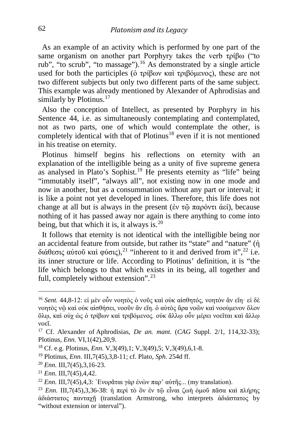As an example of an activity which is performed by one part of the same organism on another part Porphyry takes the verb τρίβω ("to rub", "to scrub", "to massage").[16](#page-4-0) As demonstrated by a single article used for both the participles (ὁ τρίβων καὶ τριβόμενος), these are not two different subjects but only two different parts of the same subject. This example was already mentioned by Alexander of Aphrodisias and similarly by Plotinus.<sup>[17](#page-4-1)</sup>

 Also the conception of Intellect, as presented by Porphyry in his Sentence 44, i.e. as simultaneously contemplating and contemplated, not as two parts, one of which would contemplate the other, is completely identical with that of Plotinus<sup>[18](#page-4-2)</sup> even if it is not mentioned in his treatise on eternity.

 Plotinus himself begins his reflections on eternity with an explanation of the intelligible being as a unity of five supreme genera as analysed in Plato's Sophist.<sup>[19](#page-4-3)</sup> He presents eternity as "life" being "immutably itself", "always all", not existing now in one mode and now in another, but as a consummation without any part or interval; it is like a point not yet developed in lines. Therefore, this life does not change at all but is always in the present (ἐν τῶ παρόντι ἀεί), because nothing of it has passed away nor again is there anything to come into being, but that which it is, it always is.<sup>[20](#page-4-4)</sup>

 It follows that eternity is not identical with the intelligible being nor an accidental feature from outside, but rather its "state" and "nature" (ἡ διάθεσις αὐτοῦ καὶ φύσις),<sup>[21](#page-4-5)</sup> "inherent to it and derived from it",<sup>[22](#page-4-6)</sup> i.e. its inner structure or life. According to Plotinus' definition, it is "the life which belongs to that which exists in its being, all together and full, completely without extension".<sup>[23](#page-4-7)</sup>

<span id="page-4-0"></span><sup>16</sup> *Sent.* 44,8-12: εἰ μὲν οὖν νοητὸς ὁ νοῦς καὶ οὐκ αἰσθητός, νοητὸν ἂν εἴη· εἰ δὲ νοητὸς νῷ καὶ οὐκ αἰσθήσει, νοοῦν ἂν εἴη. ὁ αὐτὸς ἄρα νοῶν καὶ νοούμενον ὅλον ὅλῳ, καὶ οὐχ ὡς ὁ τρίβων καὶ τριβόμενος. οὐκ ἄλλῳ οὖν μέρει νοεῖται καὶ ἄλλῳ νοεῖ.

<span id="page-4-1"></span><sup>17</sup> Cf. Alexander of Aphrodisias, *De an. mant.* (*CAG* Suppl. 2/1, 114,32-33); Plotinus, *Enn.* VI,1(42),20,9.

<span id="page-4-2"></span><sup>18</sup> Cf. e.g. Plotinus, *Enn.* V,3(49),1; V,3(49),5; V,3(49),6,1-8.

<span id="page-4-3"></span><sup>19</sup> Plotinus, *Enn.* III,7(45),3,8-11; cf. Plato, *Sph.* 254d ff. 20 *Enn.* III,7(45),3,16-23.

<span id="page-4-4"></span>

<span id="page-4-5"></span><sup>&</sup>lt;sup>21</sup> *Enn.* III,7(45),4,42.<br><sup>22</sup> *Enn.* III,7(45),4,3: Ἐνορᾶται γὰρ ἐνὼν παρ' αὐτῆς... (my translation).

<span id="page-4-7"></span><span id="page-4-6"></span><sup>23</sup> *Enn.* III,7(45),3,36-38: ἡ περὶ τὸ ὂν ἐν τῷ εἶναι ζωὴ ὁμοῦ πᾶσα καὶ πλήρης ἀδιάστατος πανταχῇ (translation Armstrong, who interprets ἀδιάστατος by "without extension or interval").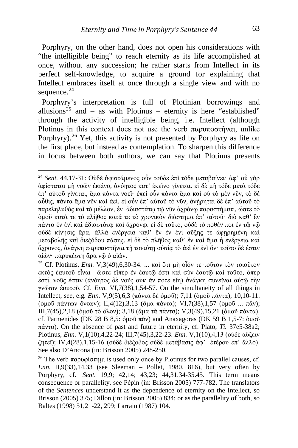Porphyry, on the other hand, does not open his considerations with "the intelligible being" to reach eternity as its life accomplished at once, without any succession; he rather starts from Intellect in its perfect self-knowledge, to acquire a ground for explaining that Intellect embraces itself at once through a single view and with no sequence.<sup>[24](#page-5-0)</sup>

 Porphyry's interpretation is full of Plotinian borrowings and allusions<sup>[25](#page-5-1)</sup> and – as with Plotinus – eternity is here "established" through the activity of intelligible being, i.e. Intellect (although Plotinus in this context does not use the verb  $\pi \alpha \rho \nu \pi \sigma \sigma \tilde{\eta} \nu \alpha$ , unlike Porphyry).<sup>[26](#page-5-2)</sup> Yet, this activity is not presented by Porphyry as life on the first place, but instead as contemplation. To sharpen this difference in focus between both authors, we can say that Plotinus presents

<span id="page-5-0"></span><sup>24</sup> *Sent.* 44,17-31: Οὐδὲ ἀφιστάμενος οὖν τοῦδε ἐπὶ τόδε μεταβαίνει· ἀφ' οὗ γὰρ ἀφίσταται μὴ νοῶν ἐκεῖνο, ἀνόητος κατ' ἐκεῖνο γίνεται. εἰ δὲ μὴ τόδε μετὰ τόδε ἐπ' αὐτοῦ γίνεται, ἅμα πάντα νοεῖ· ἐπεὶ οὖν πάντα ἅμα καὶ οὐ τὸ μὲν νῦν, τὸ δὲ αὖθις, πάντα ἅμα νῦν καὶ ἀεί. εἰ οὖν ἐπ' αὐτοῦ τὸ νῦν, ἀνῄρηται δὲ ἐπ' αὐτοῦ τὸ παρεληλυθὸς καὶ τὸ μέλλον, ἐν ἀδιαστάτῳ τῷ νῦν ἀχρόνῳ παραστήματι, ὥστε τὸ ὁμοῦ κατά τε τὸ πλῆθος κατά τε τὸ χρονικὸν διάστημα ἐπ' αὐτοῦ· διὸ καθ' ἓν πάντα ἐν ἑνὶ καὶ ἀδιαστάτῳ καὶ ἀχρόνῳ. εἰ δὲ τοῦτο, οὐδὲ τὸ ποθέν ποι ἐν τῷ νῷ οὐδὲ κίνησις ἄρα, ἀλλὰ ἐνέργεια καθ' ἓν ἐν ἑνὶ αὔξης τε ἀφῃρημένη καὶ μεταβολῆς καὶ διεξόδου πάσης. εἰ δὲ τὸ πλῆθος καθ' ἓν καὶ ἅμα ἡ ἐνέργεια καὶ ἄχρονος, ἀνάγκη παρυποστῆναι τῇ τοιαύτῃ οὐσίᾳ τὸ ἀεὶ ἐν ἑνὶ ὄν· τοῦτο δέ ἐστιν αἰών· παρυπέστη ἄρα νῷ ὁ αἰών.

<span id="page-5-1"></span><sup>25</sup> Cf. Plotinus, *Enn.* V,3(49),6,30-34: ... καὶ ὅτι μὴ οἷόν τε τοῦτον τὸν τοιοῦτον ἐκτὸς ἑαυτοῦ εἶναι—ὥστε εἴπερ ἐν ἑαυτῷ ἐστι καὶ σὺν ἑαυτῷ καὶ τοῦτο, ὅπερ ἐστί, νοῦς ἐστιν (ἀνόητος δὲ νοῦς οὐκ ἄν ποτε εἴη) ἀνάγκη συνεῖναι αὐτῷ τὴν γνῶσιν ἑαυτοῦ. Cf. *Enn.* VI,7(38),1,54-57*.* On the simultaneity of all things in Intellect, see, e.g*. Enn.* V,9(5),6,3 (πάντα δὲ ὁμοῦ); 7,11 (ὁμοῦ πάντα); 10,10-11. (ὁμοῦ πάντων ὄντων); II,4(12),3,13 (ἅμα πάντα); VI,7(38),1,57 (ὁμοῦ ... πᾶν); III,7(45),2,18 (ὁμοῦ τὸ ὅλον); 3,18 (ἅμα τὰ πάντα); V,3(49),15,21 (ὁμοῦ πάντα), cf. Parmenides (DK 28 B 8,5: ὁμοῦ πᾶν) and Anaxagoras (DK 59 B 1,5-7: ὁμοῦ πάντα). On the absence of past and future in eternity, cf. Plato, *Ti.* 37e5-38a2; Plotinus, *Enn.* V,1(10),4,22-24; III,7(45),3,22-23. *Enn.* V,1(10),4,13 (οὐδὲ αὔξειν ζητεῖ); IV,4(28),1,15-16 (οὐδὲ διέξοδος οὐδὲ μετάβασις ἀφ' ἑτέρου ἐπ' ἄλλο). See also D'Ancona (in: Brisson 2005) 248-250.

<span id="page-5-2"></span><sup>&</sup>lt;sup>26</sup> The verb παρυφίστημι is used only once by Plotinus for two parallel causes, cf. *Enn.* II,9(33),14,33 (see Sleeman – Pollet, 1980, 816), but very often by Porphyry, cf. *Sent.* 19,9; 42,14; 43,23; 44,31.34-35.45. This term means consequence or parallelity, see Pépin (in: Brisson 2005) 777-782. The translators of the *Sentences* understand it as the dependence of eternity on the Intellect, so Brisson (2005) 375; Dillon (in: Brisson 2005) 834; or as the parallelity of both, so Baltes (1998) 51,21-22, 299; Larrain (1987) 104.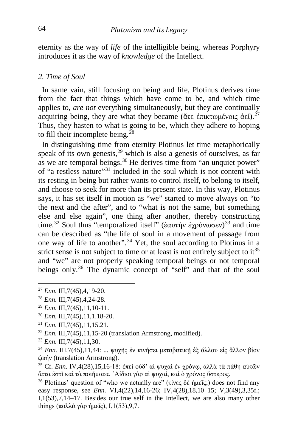eternity as the way of *life* of the intelligible being, whereas Porphyry introduces it as the way of *knowledge* of the Intellect.

#### *2. Time of Soul*

 In same vain, still focusing on being and life, Plotinus derives time from the fact that things which have come to be, and which time applies to, *are not* everything simultaneously, but they are continually acquiring being, they are what they became (ἅτε ἐπικτωμένοις ἀεί).<sup>[27](#page-6-0)</sup> Thus, they hasten to what is going to be, which they adhere to hoping to fill their incomplete being.<sup>[28](#page-6-1)</sup>

 In distinguishing time from eternity Plotinus let time metaphorically speak of its own genesis,  $29$  which is also a genesis of ourselves, as far as we are temporal beings.<sup>[30](#page-6-3)</sup> He derives time from "an unquiet power" of "a restless nature"[31](#page-6-4) included in the soul which is not content with its resting in being but rather wants to control itself, to belong to itself, and choose to seek for more than its present state. In this way, Plotinus says, it has set itself in motion as "we" started to move always on "to the next and the after", and to "what is not the same, but something else and else again", one thing after another, thereby constructing time.<sup>[32](#page-6-5)</sup> Soul thus "temporalized itself" (έαυτὴν ἐχρόνωσεν)<sup>[33](#page-6-6)</sup> and time can be described as "the life of soul in a movement of passage from one way of life to another".[34](#page-6-7) Yet, the soul according to Plotinus in a strict sense is not subject to time or at least is not entirely subject to it<sup>[35](#page-6-8)</sup> and "we" are not properly speaking temporal beings or not temporal beings only.<sup>[36](#page-6-9)</sup> The dynamic concept of "self" and that of the soul

<span id="page-6-6"></span><sup>33</sup> *Enn.* III,7(45),11,30.

<span id="page-6-0"></span><sup>27</sup> *Enn.* III,7(45),4,19-20.

<span id="page-6-1"></span><sup>28</sup> *Enn.* III,7(45),4,24-28.

<span id="page-6-2"></span><sup>29</sup> *Enn.* III,7(45),11,10-11.

<span id="page-6-3"></span><sup>30</sup> *Enn.* III,7(45),11,1.18-20.

<span id="page-6-4"></span><sup>31</sup> *Enn.* III,7(45),11,15.21.

<span id="page-6-5"></span><sup>32</sup> *Enn.* III,7(45),11,15-20 (translation Armstrong, modified).

<span id="page-6-7"></span><sup>&</sup>lt;sup>34</sup> *Enn.* III,7(45),11,44: ... ψυχῆς ἐν κινήσει μεταβατικῇ ἐξ ἄλλου εἰς ἄλλον βίον ζωήν (translation Armstrong).

<span id="page-6-8"></span><sup>&</sup>lt;sup>35</sup> Cf. *Enn.* IV,4(28),15,16-18: ἐπεὶ οὐδ' αἱ ψυχαὶ ἐν χρόνω, ἀλλὰ τὰ πάθη αὐτῶν ἅττα ἐστὶ καὶ τὰ ποιήματα. ᾿Αίδιοι γὰρ αἱ ψυχαί, καὶ ὁ χρόνος ὕστερος.

<span id="page-6-9"></span><sup>&</sup>lt;sup>36</sup> Plotinus' question of "who we actually are" (τίνες δε ήμεῖς;) does not find any easy response, see *Enn.* VI,4(22),14,16-26; IV,4(28),18,10–15; V,3(49),3,35f.; I,1(53),7,14–17. Besides our true self in the Intellect, we are also many other things (πολλά γὰρ ἡμεῖς), I,  $1(53)$ , 9,7.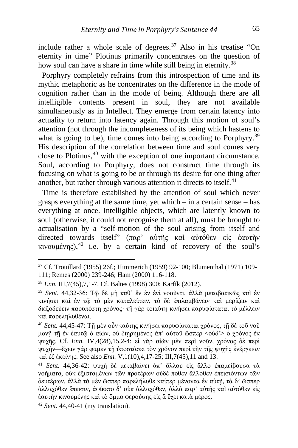include rather a whole scale of degrees.<sup>[37](#page-7-0)</sup> Also in his treatise "On eternity in time" Plotinus primarily concentrates on the question of how soul can have a share in time while still being in eternity.<sup>[38](#page-7-1)</sup>

 Porphyry completely refrains from this introspection of time and its mythic metaphoric as he concentrates on the difference in the mode of cognition rather than in the mode of being. Although there are all intelligible contents present in soul, they are not available simultaneously as in Intellect. They emerge from certain latency into actuality to return into latency again. Through this motion of soul's attention (not through the incompleteness of its being which hastens to what is going to be), time comes into being according to Porphyry.<sup>[39](#page-7-2)</sup> His description of the correlation between time and soul comes very close to Plotinus,  $40$  with the exception of one important circumstance. Soul, according to Porphyry, does not construct time through its focusing on what is going to be or through its desire for one thing after another, but rather through various attention it directs to itself. $41$ 

 Time is therefore established by the attention of soul which never grasps everything at the same time, yet which – in a certain sense – has everything at once. Intelligible objects, which are latently known to soul (otherwise, it could not recognise them at all), must be brought to actualisation by a "self-motion of the soul arising from itself and directed towards itself" (παρ' αὐτῆς καὶ αὐτόθεν εἰς ἑαυτὴν κινουμένης),[42](#page-7-5) i.e. by a certain kind of recovery of the soul's

<span id="page-7-0"></span><sup>37</sup> Cf. Trouillard (1955) 26f.; Himmerich (1959) 92-100; Blumenthal (1971) 109- 111; Remes (2000) 239-246; Ham (2000) 116-118.

<span id="page-7-1"></span><sup>38</sup> *Enn.* III,7(45),7,1-7. Cf. Baltes (1998) 300; Karfík (2012).

<span id="page-7-2"></span><sup>39</sup> *Sent.* 44,32-36: Τῷ δὲ μὴ καθ' ἓν ἐν ἑνὶ νοοῦντι, ἀλλὰ μεταβατικῶς καὶ ἐν κινήσει καὶ ἐν τῷ τὸ μὲν καταλείπειν, τὸ δὲ ἐπιλαμβάνειν καὶ μερίζειν καὶ διεξοδεύειν παρυπέστη χρόνος· τῇ γὰρ τοιαύτῃ κινήσει παρυφίσταται τὸ μέλλειν καὶ παρεληλυθέναι.

<span id="page-7-3"></span><sup>40</sup> *Sent.* 44,45-47: Τῇ μὲν οὖν ταύτης κινήσει παρυφίσταται χρόνος, τῇ δὲ τοῦ νοῦ μονῇ τῇ ἐν ἑαυτῷ ὁ αἰών, οὐ διῃρημένος ἀπ' αὐτοῦ ὥσπερ <οὐδ'> ὁ χρόνος ἐκ ψυχῆς. Cf. *Enn.* IV,4(28),15,2-4: εἰ γὰρ αἰὼν μὲν περὶ νοῦν, χρόνος δὲ περὶ ψυχήν—ἔχειν γάρ φαμεν τῇ ὑποστάσει τὸν χρόνον περὶ τὴν τῆς ψυχῆς ἐνέργειαν καὶ ἐξ ἐκείνης. See also *Enn.* V,1(10),4,17-25; III,7(45),11 and 13.

<span id="page-7-4"></span><sup>41</sup> *Sent.* 44,36-42: ψυχὴ δὲ μεταβαίνει ἀπ' ἄλλου εἰς ἄλλο ἐπαμείβουσα τὰ νοήματα, οὐκ ἐξισταμένων τῶν προτέρων οὐδέ ποθεν ἄλλοθεν ἐπεισιόντων τῶν δευτέρων, ἀλλὰ τὰ μὲν ὥσπερ παρελήλυθε καίπερ μένοντα ἐν αὐτῇ, τὰ δ' ὥσπερ ἀλλαχόθεν ἔπεισιν, ἀφίκετο δ' οὐκ ἀλλαχόθεν, ἀλλὰ παρ' αὐτῆς καὶ αὐτόθεν εἰς ἑαυτὴν κινουμένης καὶ τὸ ὄμμα φερούσης εἰς ἃ ἔχει κατὰ μέρος.

<span id="page-7-5"></span><sup>42</sup> *Sent.* 44,40-41 (my translation).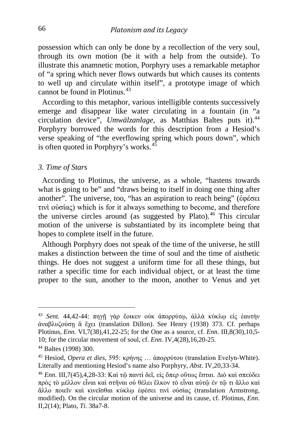possession which can only be done by a recollection of the very soul, through its own motion (be it with a help from the outside). To illustrate this anamnetic motion, Porphyry uses a remarkable metaphor of "a spring which never flows outwards but which causes its contents to well up and circulate within itself", a prototype image of which cannot be found in Plotinus.[43](#page-8-0)

 According to this metaphor, various intelligible contents successively emerge and disappear like water circulating in a fountain (in "a circulation device", *Umwälzanlage*, as Matthias Baltes puts it).<sup>[44](#page-8-1)</sup> Porphyry borrowed the words for this description from a Hesiod's verse speaking of "the everflowing spring which pours down", which is often quoted in Porphyry's works. $45$ 

#### *3. Time of Stars*

 According to Plotinus, the universe, as a whole, "hastens towards what is going to be" and "draws being to itself in doing one thing after another". The universe, too, "has an aspiration to reach being" (ἐφέσει τινὶ οὐσίας) which is for it always something to become, and therefore the universe circles around (as suggested by Plato). $46$  This circular motion of the universe is substantiated by its incomplete being that hopes to complete itself in the future.

 Although Porphyry does not speak of the time of the universe, he still makes a distinction between the time of soul and the time of aisthetic things. He does not suggest a uniform time for all these things, but rather a specific time for each individual object, or at least the time proper to the sun, another to the moon, another to Venus and yet

<span id="page-8-0"></span><sup>43</sup> *Sent.* 44,42-44: πηγῇ γὰρ ἔοικεν οὐκ ἀπορρύτῳ, ἀλλὰ κύκλῳ εἰς ἑαυτὴν ἀναβλυζούσῃ ἃ ἔχει (translation Dillon). See Henry (1938) 373. Cf. perhaps Plotinus, *Enn.* VI,7(38),41,22-25; for the One as a source, cf. *Enn.* III,8(30),10,5- 10; for the circular movement of soul, cf. *Enn.* IV,4(28),16,20-25.

<span id="page-8-1"></span><sup>44</sup> Baltes (1998) 300.

<span id="page-8-2"></span><sup>45</sup> Hesiod, *Opera et dies*, 595: κρήνης … ἀπορρύτου (translation Evelyn-White). Literally and mentioning Hesiod's name also Porphyry, *Abst.* IV,20,33-34.

<span id="page-8-3"></span><sup>46</sup> *Enn.* III,7(45),4,28-33: Καὶ τῷ παντὶ δεῖ, εἰς ὅπερ οὕτως ἔσται. Διὸ καὶ σπεύδει πρὸς τὸ μέλλον εἶναι καὶ στῆναι οὐ θέλει ἕλκον τὸ εἶναι αὑτῷ ἐν τῷ τι ἄλλο καὶ ἄλλο ποιεῖν καὶ κινεῖσθαι κύκλῳ ἐφέσει τινὶ οὐσίας (translation Armstrong, modified). On the circular motion of the universe and its cause, cf. Plotinus, *Enn.*  II,2(14); Plato, *Ti.* 38a7-8.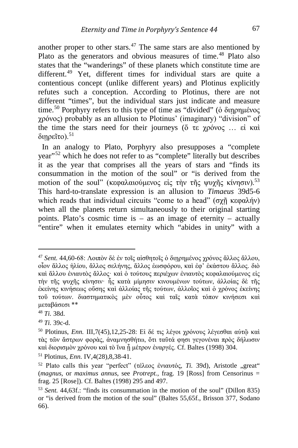another proper to other stars. $47$  The same stars are also mentioned by Plato as the generators and obvious measures of time.<sup>[48](#page-9-1)</sup> Plato also states that the "wanderings" of these planets which constitute time are different.<sup>[49](#page-9-2)</sup> Yet, different times for individual stars are quite a contentious concept (unlike different years) and Plotinus explicitly refutes such a conception. According to Plotinus, there are not different "times", but the individual stars just indicate and measure time.<sup>[50](#page-9-3)</sup> Porphyry refers to this type of time as "divided" ( $\dot{\text{o}}$  διηρημένος χρόνος) probably as an allusion to Plotinus' (imaginary) "division" of the time the stars need for their journeys (ὅ τε χρόνος … εἰ καὶ διηρεῖτο). $51$ 

 In an analogy to Plato, Porphyry also presupposes a "complete year"[52](#page-9-5) which he does not refer to as "complete" literally but describes it as the year that comprises all the years of stars and "finds its consummation in the motion of the soul" or "is derived from the motion of the soul" (κεφαλαιούμενος είς την της ψυχης κίνησιν).<sup>[53](#page-9-6)</sup> This hard-to-translate expression is an allusion to *Timaeus* 39d5-6 which reads that individual circuits "come to a head" (σχῆ κεφαλήν) when all the planets return simultaneously to their original starting points. Plato's cosmic time is – as an image of eternity – actually "entire" when it emulates eternity which "abides in unity" with a

<span id="page-9-0"></span><sup>47</sup> *Sent.* 44,60-68: Λοιπὸν δὲ ἐν τοῖς αἰσθητοῖς ὁ διῃρημένος χρόνος ἄλλος ἄλλου, οἷον ἄλλος ἡλίου, ἄλλος σελήνης, ἄλλος ἑωσφόρου, καὶ ἐφ' ἑκάστου ἄλλος. διὸ καὶ ἄλλου ἐνιαυτὸς ἄλλος· καὶ ὁ τούτους περιέχων ἐνιαυτὸς κεφαλαιούμενος εἰς τὴν τῆς ψυχῆς κίνησιν· ἧς κατὰ μίμησιν κινουμένων τούτων, ἀλλοίας δὲ τῆς ἐκείνης κινήσεως οὔσης καὶ ἀλλοίας τῆς τούτων, ἀλλοῖος καὶ ὁ χρόνος ἐκείνης τοῦ τούτων. διαστηματικὸς μὲν οὗτος καὶ ταῖς κατὰ τόπον κινήσεσι καὶ μεταβάσεσι \*\*

<span id="page-9-1"></span><sup>48</sup> *Ti.* 38d.

<span id="page-9-2"></span><sup>49</sup> *Ti.* 39c-d.

<span id="page-9-3"></span><sup>50</sup> Plotinus, *Enn.* III,7(45),12,25-28: Εἰ δέ τις λέγοι χρόνους λέγεσθαι αὐτῷ καὶ τὰς τῶν ἄστρων φορὰς, ἀναμνησθήτω, ὅτι ταῦτά φησι γεγονέναι πρὸς δήλωσιν καὶ διορισμὸν χρόνου καὶ τὸ ἵνα ᾖ μέτρον ἐναργές. Cf. Baltes (1998) 304.

<span id="page-9-4"></span><sup>51</sup> Plotinus, *Enn.* IV,4(28),8,38-41.

<span id="page-9-5"></span><sup>&</sup>lt;sup>52</sup> Plato calls this year "perfect" (τέλεος ένιαυτός, *Ti.* 39d), Aristotle "great" (*magnus*, or *maximus annus*, see *Protrept.*, frag. 19 [Ross] from Censorinus = frag. 25 [Rose]). Cf. Baltes (1998) 295 and 497.

<span id="page-9-6"></span><sup>53</sup> *Sent.* 44,63f.: "finds its consummation in the motion of the soul" (Dillon 835) or "is derived from the motion of the soul" (Baltes 55,65f., Brisson 377, Sodano 66).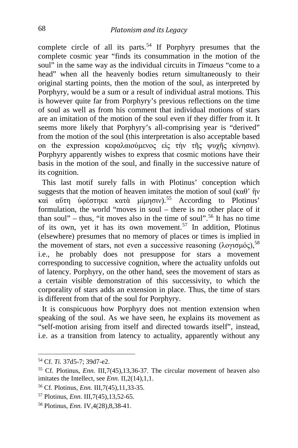complete circle of all its parts.<sup>[54](#page-10-0)</sup> If Porphyry presumes that the complete cosmic year "finds its consummation in the motion of the soul" in the same way as the individual circuits in *Timaeus* "come to a head" when all the heavenly bodies return simultaneously to their original starting points, then the motion of the soul, as interpreted by Porphyry, would be a sum or a result of individual astral motions. This is however quite far from Porphyry's previous reflections on the time of soul as well as from his comment that individual motions of stars are an imitation of the motion of the soul even if they differ from it. It seems more likely that Porphyry's all-comprising year is "derived" from the motion of the soul (this interpretation is also acceptable based on the expression κεφαλαιούμενος εἰς τὴν τῆς ψυχῆς κίνησιν). Porphyry apparently wishes to express that cosmic motions have their basis in the motion of the soul, and finally in the successive nature of its cognition.

 This last motif surely falls in with Plotinus' conception which suggests that the motion of heaven imitates the motion of soul (καθ'  $\hat{\eta}$ ν καὶ αὕτη ὑφέστηκε κατὰ μίμησιν).[55](#page-10-1) According to Plotinus' formulation, the world "moves in soul – there is no other place of it than soul" – thus, "it moves also in the time of soul".<sup>[56](#page-10-2)</sup> It has no time of its own, yet it has its own movement.<sup>[57](#page-10-3)</sup> In addition, Plotinus (elsewhere) presumes that no memory of places or times is implied in the movement of stars, not even a successive reasoning (λογισμός), <sup>[58](#page-10-4)</sup> i.e., he probably does not presuppose for stars a movement corresponding to successive cognition, where the actuality unfolds out of latency. Porphyry, on the other hand, sees the movement of stars as a certain visible demonstration of this successivity, to which the corporality of stars adds an extension in place. Thus, the time of stars is different from that of the soul for Porphyry.

 It is conspicuous how Porphyry does not mention extension when speaking of the soul. As we have seen, he explains its movement as "self-motion arising from itself and directed towards itself", instead, i.e. as a transition from latency to actuality, apparently without any

<span id="page-10-0"></span><sup>54</sup> Cf. *Ti.* 37d5-7; 39d7-e2.

<span id="page-10-1"></span><sup>55</sup> Cf. Plotinus, *Enn.* III,7(45),13,36-37. The circular movement of heaven also imitates the Intellect, see *Enn*. II, 2(14), 1, 1.

<span id="page-10-2"></span><sup>56</sup> Cf. Plotinus, *Enn.* III,7(45),11,33-35.

<span id="page-10-3"></span><sup>57</sup> Plotinus, *Enn.* III,7(45),13,52-65.

<span id="page-10-4"></span><sup>58</sup> Plotinus, *Enn.* IV,4(28),8,38-41.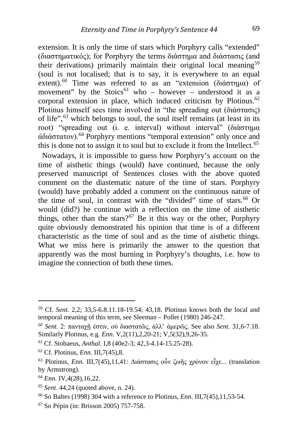extension. It is only the time of stars which Porphyry calls "extended" (διαστηματικός); for Porphyry the terms διάστημα and διάστασις (and their derivations) primarily maintain their original local meaning<sup>[59](#page-11-0)</sup> (soul is not localised; that is to say, it is everywhere to an equal extent).<sup>[60](#page-11-1)</sup> Time was referred to as an "extension (διάστημα) of movement" by the Stoics<sup>[61](#page-11-2)</sup> who – however – understood it as a corporal extension in place, which induced criticism by Plotinus.<sup>[62](#page-11-3)</sup> Plotinus himself sees time involved in "the spreading out (διάστασις) of life",<sup>[63](#page-11-4)</sup> which belongs to soul, the soul itself remains (at least in its root) "spreading out (i. e. interval) without interval" (διάστημα ἀδιάστατον).[64](#page-11-5) Porphyry mentions "temporal extension" only once and this is done not to assign it to soul but to exclude it from the Intellect.<sup>[65](#page-11-6)</sup>

 Nowadays, it is impossible to guess how Porphyry's account on the time of aisthetic things (would) have continued, because the only preserved manuscript of Sentences closes with the above quoted comment on the diastematic nature of the time of stars. Porphyry (would) have probably added a comment on the continuous nature of the time of soul, in contrast with the "divided" time of stars.<sup>[66](#page-11-7)</sup> Or would (did?) he continue with a reflection on the time of aisthetic things, other than the stars?<sup>[67](#page-11-8)</sup> Be it this way or the other, Porphyry quite obviously demonstrated his opinion that time is of a different characteristic as the time of soul and as the time of aisthetic things. What we miss here is primarily the answer to the question that apparently was the most burning in Porphyry's thoughts, i.e. how to imagine the connection of both these times.

<span id="page-11-0"></span><sup>59</sup> Cf. *Sent.* 2,2; 33,5-6.8.11.18-19.54; 43,18. Plotinus knows both the local and temporal meaning of this term, see Sleeman – Pollet (1980) 246-247.

<span id="page-11-1"></span><sup>60</sup> *Sent.* 2: πανταχῇ ἐστιν, οὐ διαστατῶς, ἀλλ' ἀμερῶς. See also *Sent.* 31,6-7.18. Similarly Plotinus, e.g. *Enn.* V,2(11),2,20-21; V,5(32),9,26-35.

<span id="page-11-2"></span><sup>61</sup> Cf. Stobaeus, *Anthal.* I,8 (40e2-3; 42,3-4.14-15.25-28). 62 Cf. Plotinus, *Enn.* III,7(45),8.

<span id="page-11-3"></span>

<span id="page-11-4"></span><sup>63</sup> Plotinus, *Enn.* III,7(45),11,41: Διάστασις οὖν ζωῆς χρόνον εἶχε... (translation by Armstrong).

<span id="page-11-5"></span><sup>64</sup> *Enn.* IV,4(28),16,22.

<span id="page-11-6"></span><sup>65</sup> *Sent.* 44,24 (quoted above, n. 24).

<span id="page-11-7"></span><sup>66</sup> So Baltes (1998) 304 with a reference to Plotinus, *Enn.* III,7(45),11,53-54.

<span id="page-11-8"></span><sup>67</sup> So Pépin (in: Brisson 2005) 757-758.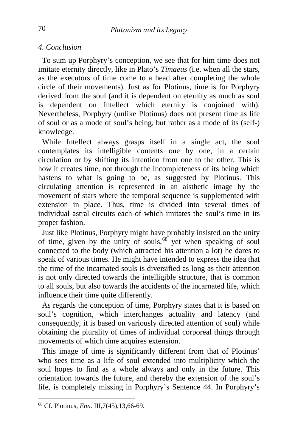#### *4. Conclusion*

 To sum up Porphyry's conception, we see that for him time does not imitate eternity directly, like in Plato's *Timaeus* (i.e. when all the stars, as the executors of time come to a head after completing the whole circle of their movements). Just as for Plotinus, time is for Porphyry derived from the soul (and it is dependent on eternity as much as soul is dependent on Intellect which eternity is conjoined with). Nevertheless, Porphyry (unlike Plotinus) does not present time as life of soul or as a mode of soul's being, but rather as a mode of its (self-) knowledge.

 While Intellect always grasps itself in a single act, the soul contemplates its intelligible contents one by one, in a certain circulation or by shifting its intention from one to the other. This is how it creates time, not through the incompleteness of its being which hastens to what is going to be, as suggested by Plotinus. This circulating attention is represented in an aisthetic image by the movement of stars where the temporal sequence is supplemented with extension in place. Thus, time is divided into several times of individual astral circuits each of which imitates the soul's time in its proper fashion.

 Just like Plotinus, Porphyry might have probably insisted on the unity of time, given by the unity of souls,  $68^{\circ}$  $68^{\circ}$  yet when speaking of soul connected to the body (which attracted his attention a lot) he dares to speak of various times. He might have intended to express the idea that the time of the incarnated souls is diversified as long as their attention is not only directed towards the intelligible structure, that is common to all souls, but also towards the accidents of the incarnated life, which influence their time quite differently.

 As regards the conception of time, Porphyry states that it is based on soul's cognition, which interchanges actuality and latency (and consequently, it is based on variously directed attention of soul) while obtaining the plurality of times of individual corporeal things through movements of which time acquires extension.

 This image of time is significantly different from that of Plotinus' who sees time as a life of soul extended into multiplicity which the soul hopes to find as a whole always and only in the future. This orientation towards the future, and thereby the extension of the soul's life, is completely missing in Porphyry's Sentence 44. In Porphyry's

<span id="page-12-0"></span><sup>68</sup> Cf. Plotinus, *Enn.* III,7(45),13,66-69.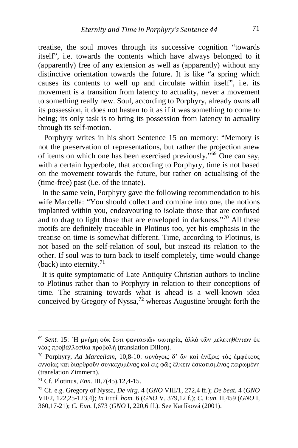treatise, the soul moves through its successive cognition "towards itself", i.e. towards the contents which have always belonged to it (apparently) free of any extension as well as (apparently) without any distinctive orientation towards the future. It is like "a spring which causes its contents to well up and circulate within itself", i.e. its movement is a transition from latency to actuality, never a movement to something really new. Soul, according to Porphyry, already owns all its possession, it does not hasten to it as if it was something to come to being; its only task is to bring its possession from latency to actuality through its self-motion.

 Porphyry writes in his short Sentence 15 on memory: "Memory is not the preservation of representations, but rather the projection anew of items on which one has been exercised previously."[69](#page-13-0) One can say, with a certain hyperbole, that according to Porphyry, time is not based on the movement towards the future, but rather on actualising of the (time-free) past (i.e. of the innate).

 In the same vein, Porphyry gave the following recommendation to his wife Marcella: "You should collect and combine into one, the notions implanted within you, endeavouring to isolate those that are confused and to drag to light those that are enveloped in darkness."[70](#page-13-1) All these motifs are definitely traceable in Plotinus too, yet his emphasis in the treatise on time is somewhat different. Time, according to Plotinus, is not based on the self-relation of soul, but instead its relation to the other. If soul was to turn back to itself completely, time would change (back) into eternity.<sup>[71](#page-13-2)</sup>

 It is quite symptomatic of Late Antiquity Christian authors to incline to Plotinus rather than to Porphyry in relation to their conceptions of time. The straining towards what is ahead is a well-known idea conceived by Gregory of Nyssa,<sup>[72](#page-13-3)</sup> whereas Augustine brought forth the

<span id="page-13-0"></span><sup>69</sup> *Sent.* 15: ῾Η μνήμη οὐκ ἔστι φαντασιῶν σωτηρία, ἀλλὰ τῶν μελετηθέντων ἐκ νέας προβάλλεσθαι προβολή (translation Dillon).

<span id="page-13-1"></span><sup>70</sup> Porphyry, *Ad Marcellam*, 10,8-10: συνάγοις δ' ἂν καὶ ἑνίζοις τὰς ἐμφύτους ἐννοίας καὶ διαρθροῦν συγκεχυμένας καὶ εἰς φῶς ἕλκειν ἐσκοτισμένας πειρωμένη (translation Zimmern).

<span id="page-13-2"></span><sup>71</sup> Cf. Plotinus, *Enn.* III,7(45),12,4-15.

<span id="page-13-3"></span><sup>72</sup> Cf. e.g. Gregory of Nyssa, *De virg.* 4 (*GNO* VIII/1, 272,4 ff.); *De beat.* 4 (*GNO* VII/2, 122,25-123,4); *In Eccl. hom.* 6 (*GNO* V, 379,12 f.); *C. Eun.* II,459 (*GNO* I, 360,17-21); *C. Eun.* I,673 (*GNO* I, 220,6 ff.). See Karfíková (2001).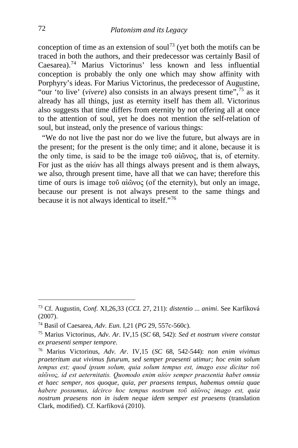conception of time as an extension of soul<sup>[73](#page-14-0)</sup> (yet both the motifs can be traced in both the authors, and their predecessor was certainly Basil of Caesarea).[74](#page-14-1) Marius Victorinus' less known and less influential conception is probably the only one which may show affinity with Porphyry's ideas. For Marius Victorinus, the predecessor of Augustine, "our 'to live' (*vivere*) also consists in an always present time",[75](#page-14-2) as it already has all things, just as eternity itself has them all. Victorinus also suggests that time differs from eternity by not offering all at once to the attention of soul, yet he does not mention the self-relation of soul, but instead, only the presence of various things:

 "We do not live the past nor do we live the future, but always are in the present; for the present is the only time; and it alone, because it is the only time, is said to be the image τοῦ αἰῶνος, that is, of eternity. For just as the αἰών has all things always present and is them always, we also, through present time, have all that we can have; therefore this time of ours is image τοῦ αἰῶνος (of the eternity), but only an image, because our present is not always present to the same things and because it is not always identical to itself."[76](#page-14-3)

<span id="page-14-0"></span><sup>73</sup> Cf. Augustin, *Conf.* XI,26,33 (*CCL* 27, 211): *distentio ... animi*. See Karfíková (2007).

<span id="page-14-1"></span><sup>74</sup> Basil of Caesarea, *Adv. Eun.* I,21 (*PG* 29, 557c-560c).

<span id="page-14-2"></span><sup>75</sup> Marius Victorinus, *Adv. Ar.* IV,15 (*SC* 68, 542): *Sed et nostrum vivere constat ex praesenti semper tempore*.

<span id="page-14-3"></span><sup>76</sup> Marius Victorinus, *Adv. Ar.* IV,15 (*SC* 68, 542-544): *non enim vivimus praeteritum aut vivimus futurum, sed semper praesenti utimur; hoc enim solum tempus est; quod ipsum solum, quia solum tempus est, imago esse dicitur τοῦ αἰῶνος, id est aeternitatis. Quomodo enim αἰών semper praesentia habet omnia et haec semper, nos quoque, quia, per praesens tempus, habemus omnia quae habere possumus, idcirco hoc tempus nostrum τοῦ αἰῶνος imago est, quia nostrum praesens non in isdem neque idem semper est praesens* (translation Clark, modified). Cf. Karfíková (2010).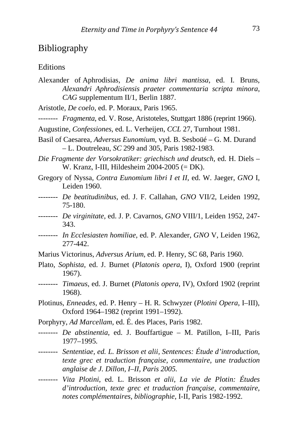### Bibliography

#### **Editions**

- Alexander of Aphrodisias, *De anima libri mantissa*, ed. I. Bruns, *Alexandri Aphrodisiensis praeter commentaria scripta minora*, *CAG* supplementum II/1, Berlin 1887.
- Aristotle, *De coelo*, ed. P. Moraux, Paris 1965.
- -------- *Fragmenta*, ed. V. Rose, Aristoteles, Stuttgart 1886 (reprint 1966).
- Augustine, *Confessiones*, ed. L. Verheijen, *CCL* 27, Turnhout 1981.
- Basil of Caesarea, *Adversus Eunomium*, vyd. B. Sesboüé G. M. Durand – L. Doutreleau, *SC* 299 and 305, Paris 1982-1983.
- *Die Fragmente der Vorsokratiker: griechisch und deutsch*, ed. H. Diels W. Kranz, I-III, Hildesheim 2004-2005 (= DK).
- Gregory of Nyssa, *Contra Eunomium libri I et II*, ed. W. Jaeger, *GNO* I, Leiden 1960.
- -------- *De beatitudinibus*, ed. J. F. Callahan, *GNO* VII/2, Leiden 1992, 75-180.
- -------- *De virginitate*, ed. J. P. Cavarnos, *GNO* VIII/1, Leiden 1952, 247- 343.
- -------- *In Ecclesiasten homiliae*, ed. P. Alexander, *GNO* V, Leiden 1962, 277-442.
- Marius Victorinus, *Adversus Arium*, ed. P. Henry, SC 68, Paris 1960.
- Plato, *Sophista*, ed. J. Burnet (*Platonis opera*, I), Oxford 1900 (reprint 1967).
- -------- *Timaeus*, ed. J. Burnet (*Platonis opera*, IV), Oxford 1902 (reprint 1968).
- Plotinus, *Enneades,* ed. P. Henry H. R. Schwyzer (*Plotini Opera*, I–III), Oxford 1964–1982 (reprint 1991–1992).
- Porphyry, *Ad Marcellam*, ed. É. des Places, Paris 1982.
- -------- *De abstinentia*, ed. J. Bouffartigue M. Patillon, I–III, Paris 1977–1995.
- -------- *Sententiae, ed. L. Brisson et alii, Sentences: Étude d'introduction, texte grec et traduction française, commentaire, une traduction anglaise de J. Dillon, I–II, Paris 2005.*
- -------- *Vita Plotini*, ed. L. Brisson *et alii*, *La vie de Plotin: Études d'introduction, texte grec et traduction française, commentaire, notes complémentaires, bibliographie*, I-II, Paris 1982-1992.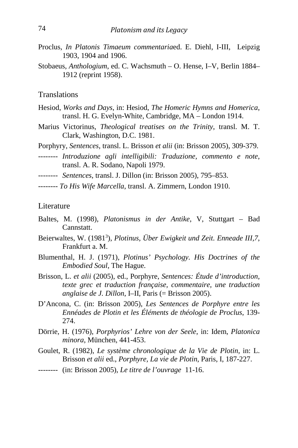- Proclus*, In Platonis Timaeum commentaria*ed. E. Diehl, I-III, Leipzig 1903, 1904 and 1906.
- Stobaeus, *Anthologium*, ed. C. Wachsmuth O. Hense, I–V, Berlin 1884– 1912 (reprint 1958).

#### **Translations**

- Hesiod, *Works and Days*, in: Hesiod, *The Homeric Hymns and Homerica*, transl. H. G. Evelyn-White, Cambridge, MA – London 1914.
- Marius Victorinus, *Theological treatises on the Trinity*, transl. M. T. Clark, Washington, D.C. 1981.
- Porphyry, *Sentences*, transl. L. Brisson *et alii* (in: Brisson 2005), 309-379.
- -------- *Introduzione agli intelligibili: Traduzione, commento e note*, transl. A. R. Sodano, Napoli 1979.
- -------- *Sentences*, transl. J. Dillon (in: Brisson 2005), 795–853.
- -------- *To His Wife Marcella*, transl. A. Zimmern, London 1910.

#### Literature

- Baltes, M. (1998), *Platonismus in der Antike*, V, Stuttgart Bad Cannstatt.
- Beierwaltes, W. (1981<sup>3</sup>), *Plotinus, Über Ewigkeit und Zeit. Enneade III,7*, Frankfurt a. M.
- Blumenthal, H. J. (1971), *Plotinus' Psychology. His Doctrines of the Embodied Soul*, The Hague.
- Brisson, L. *et alii* (2005), ed., Porphyre, *Sentences: Étude d'introduction, texte grec et traduction française, commentaire, une traduction anglaise de J. Dillon*, I–II, Paris (= Brisson 2005).
- D'Ancona, C. (in: Brisson 2005), *Les Sentences de Porphyre entre les Ennéades de Plotin et les Éléments de théologie de Proclus*, 139- 274.
- Dörrie, H. (1976), *Porphyrios' Lehre von der Seele*, in: Idem, *Platonica minora*, München, 441-453.
- Goulet, R. (1982), *Le système chronologique de la Vie de Plotin*, in: L. Brisson *et alii* ed., *Porphyre, La vie de Plotin*, Paris, I, 187-227.
- -------- (in: Brisson 2005), *Le titre de l'ouvrage* 11-16.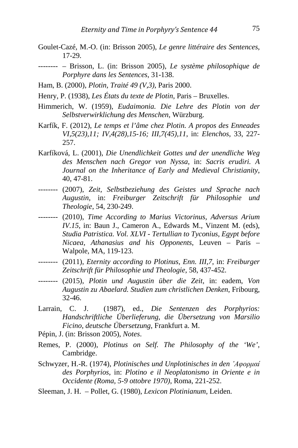- Goulet-Cazé, M.-O. (in: Brisson 2005), *Le genre littéraire des Sentences*, 17-29.
- -------- Brisson, L. (in: Brisson 2005), *Le système philosophique de Porphyre dans les Sentences*, 31-138.
- Ham, B. (2000), *Plotin, Traité 49 (V,3)*, Paris 2000.

Henry, P. (1938), *Les États du texte de Plotin*, Paris – Bruxelles.

- Himmerich, W. (1959), *Eudaimonia. Die Lehre des Plotin von der Selbstverwirklichung des Menschen*, Würzburg.
- Karfík, F. (2012), *Le temps et l'âme chez Plotin. A propos des Enneades VI,5(23),11; IV,4(28),15-16; III,7(45),11*, in: *Elenchos*, 33, 227- 257.
- Karfíková, L. (2001), *Die Unendlichkeit Gottes und der unendliche Weg des Menschen nach Gregor von Nyssa*, in: *Sacris erudiri. A Journal on the Inheritance of Early and Medieval Christianity*, 40, 47-81.
- -------- (2007), *Zeit, Selbstbeziehung des Geistes und Sprache nach Augustin*, in: *Freiburger Zeitschrift für Philosophie und Theologie*, 54, 230-249.
- -------- (2010), *Time According to Marius Victorinus, Adversus Arium IV.15*, in: Baun J., Cameron A., Edwards M., Vinzent M. (eds), *Studia Patristica. Vol. XLVI - Tertullian to Tyconius, Egypt before Nicaea, Athanasius and his Opponents*, Leuven – Paris – Walpole, MA, 119-123.
- -------- (2011), *Eternity according to Plotinus, Enn. III,7*, in: *Freiburger Zeitschrift für Philosophie und Theologie*, 58, 437-452.
- -------- (2015), *Plotin und Augustin über die Zeit*, in: eadem, *Von Augustin zu Abaelard. Studien zum christlichen Denken*, Fribourg, 32-46.
- Larrain, C. J. (1987), ed., *Die Sentenzen des Porphyrios: Handschriftliche Überlieferung, die Übersetzung von Marsilio Ficino, deutsche Übersetzung*, Frankfurt a. M.
- Pépin, J. (in: Brisson 2005), *Notes*.
- Remes, P. (2000), *Plotinus on Self. The Philosophy of the 'We'*, Cambridge.
- Schwyzer, H.-R. (1974), *Plotinisches und Unplotinisches in den ᾿Αφορμαί des Porphyrios*, in: *Plotino e il Neoplatonismo in Oriente e in Occidente (Roma, 5-9 ottobre 1970)*, Roma, 221-252.
- Sleeman, J. H. Pollet, G. (1980), *Lexicon Plotinianum*, Leiden.